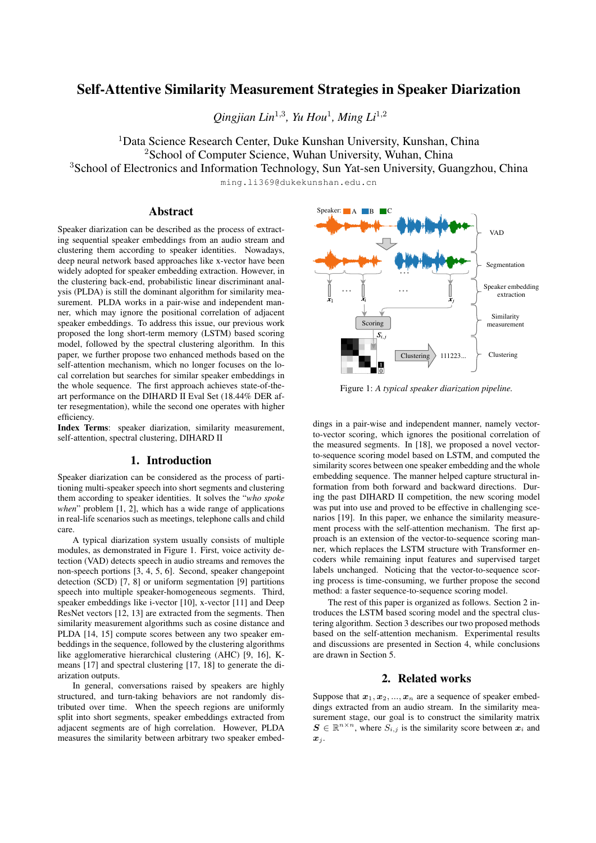# Self-Attentive Similarity Measurement Strategies in Speaker Diarization

Qingjian Lin<sup>1,3</sup>, Yu Hou<sup>1</sup>, Ming Li<sup>1,2</sup>

<sup>1</sup>Data Science Research Center, Duke Kunshan University, Kunshan, China <sup>2</sup>School of Computer Science, Wuhan University, Wuhan, China

<sup>3</sup>School of Electronics and Information Technology, Sun Yat-sen University, Guangzhou, China

ming.li369@dukekunshan.edu.cn

# Abstract

Speaker diarization can be described as the process of extracting sequential speaker embeddings from an audio stream and clustering them according to speaker identities. Nowadays, deep neural network based approaches like x-vector have been widely adopted for speaker embedding extraction. However, in the clustering back-end, probabilistic linear discriminant analysis (PLDA) is still the dominant algorithm for similarity measurement. PLDA works in a pair-wise and independent manner, which may ignore the positional correlation of adjacent speaker embeddings. To address this issue, our previous work proposed the long short-term memory (LSTM) based scoring model, followed by the spectral clustering algorithm. In this paper, we further propose two enhanced methods based on the self-attention mechanism, which no longer focuses on the local correlation but searches for similar speaker embeddings in the whole sequence. The first approach achieves state-of-theart performance on the DIHARD II Eval Set (18.44% DER after resegmentation), while the second one operates with higher efficiency.

Index Terms: speaker diarization, similarity measurement, self-attention, spectral clustering, DIHARD II

# 1. Introduction

Speaker diarization can be considered as the process of partitioning multi-speaker speech into short segments and clustering them according to speaker identities. It solves the "*who spoke when*" problem [1, 2], which has a wide range of applications in real-life scenarios such as meetings, telephone calls and child care.

A typical diarization system usually consists of multiple modules, as demonstrated in Figure 1. First, voice activity detection (VAD) detects speech in audio streams and removes the non-speech portions [3, 4, 5, 6]. Second, speaker changepoint detection (SCD) [7, 8] or uniform segmentation [9] partitions speech into multiple speaker-homogeneous segments. Third, speaker embeddings like i-vector [10], x-vector [11] and Deep ResNet vectors [12, 13] are extracted from the segments. Then similarity measurement algorithms such as cosine distance and PLDA [14, 15] compute scores between any two speaker embeddings in the sequence, followed by the clustering algorithms like agglomerative hierarchical clustering (AHC) [9, 16], Kmeans [17] and spectral clustering [17, 18] to generate the diarization outputs.

In general, conversations raised by speakers are highly structured, and turn-taking behaviors are not randomly distributed over time. When the speech regions are uniformly split into short segments, speaker embeddings extracted from adjacent segments are of high correlation. However, PLDA measures the similarity between arbitrary two speaker embed-



Figure 1: *A typical speaker diarization pipeline.*

dings in a pair-wise and independent manner, namely vectorto-vector scoring, which ignores the positional correlation of the measured segments. In [18], we proposed a novel vectorto-sequence scoring model based on LSTM, and computed the similarity scores between one speaker embedding and the whole embedding sequence. The manner helped capture structural information from both forward and backward directions. During the past DIHARD II competition, the new scoring model was put into use and proved to be effective in challenging scenarios [19]. In this paper, we enhance the similarity measurement process with the self-attention mechanism. The first approach is an extension of the vector-to-sequence scoring manner, which replaces the LSTM structure with Transformer encoders while remaining input features and supervised target labels unchanged. Noticing that the vector-to-sequence scoring process is time-consuming, we further propose the second method: a faster sequence-to-sequence scoring model.

The rest of this paper is organized as follows. Section 2 introduces the LSTM based scoring model and the spectral clustering algorithm. Section 3 describes our two proposed methods based on the self-attention mechanism. Experimental results and discussions are presented in Section 4, while conclusions are drawn in Section 5.

# 2. Related works

Suppose that  $x_1, x_2, ..., x_n$  are a sequence of speaker embeddings extracted from an audio stream. In the similarity measurement stage, our goal is to construct the similarity matrix  $\mathbf{S} \in \mathbb{R}^{n \times n}$ , where  $S_{i,j}$  is the similarity score between  $\mathbf{x}_i$  and  $\boldsymbol{x}_j$ .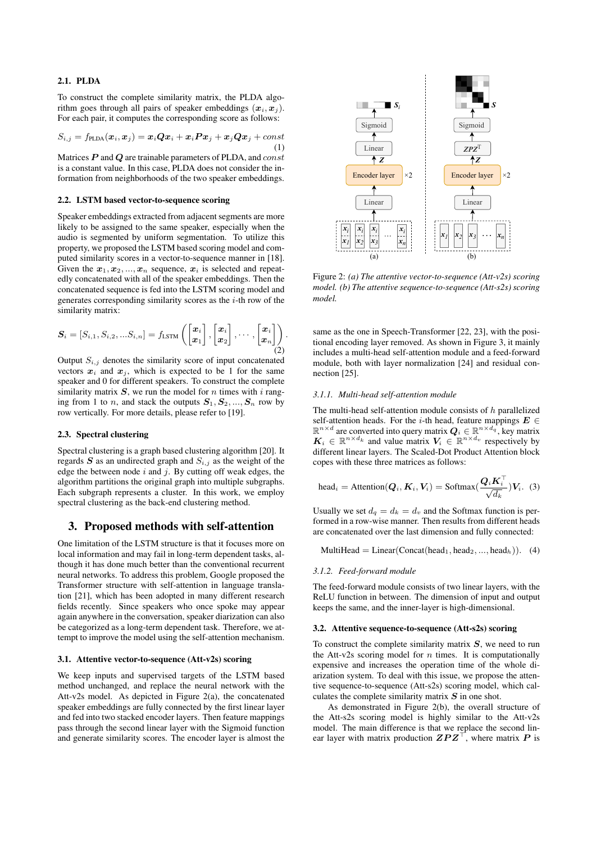### 2.1. PLDA

To construct the complete similarity matrix, the PLDA algorithm goes through all pairs of speaker embeddings  $(x_i, x_j)$ . For each pair, it computes the corresponding score as follows:

$$
S_{i,j} = f_{\text{PLDA}}(\boldsymbol{x}_i, \boldsymbol{x}_j) = \boldsymbol{x}_i \boldsymbol{Q} \boldsymbol{x}_i + \boldsymbol{x}_i \boldsymbol{P} \boldsymbol{x}_j + \boldsymbol{x}_j \boldsymbol{Q} \boldsymbol{x}_j + const
$$
\n(1)

Matrices  $P$  and  $Q$  are trainable parameters of PLDA, and  $const$ is a constant value. In this case, PLDA does not consider the information from neighborhoods of the two speaker embeddings.

### 2.2. LSTM based vector-to-sequence scoring

Speaker embeddings extracted from adjacent segments are more likely to be assigned to the same speaker, especially when the audio is segmented by uniform segmentation. To utilize this property, we proposed the LSTM based scoring model and computed similarity scores in a vector-to-sequence manner in [18]. Given the  $x_1, x_2, ..., x_n$  sequence,  $x_i$  is selected and repeatedly concatenated with all of the speaker embeddings. Then the concatenated sequence is fed into the LSTM scoring model and generates corresponding similarity scores as the  $i$ -th row of the similarity matrix:

$$
\boldsymbol{S}_i = [S_{i,1}, S_{i,2}, ... S_{i,n}] = f_{\text{LSTM}}\left(\begin{bmatrix} \boldsymbol{x}_i \\ \boldsymbol{x}_1 \end{bmatrix}, \begin{bmatrix} \boldsymbol{x}_i \\ \boldsymbol{x}_2 \end{bmatrix}, \cdots, \begin{bmatrix} \boldsymbol{x}_i \\ \boldsymbol{x}_n \end{bmatrix}\right). \tag{2}
$$

Output  $S_{i,j}$  denotes the similarity score of input concatenated vectors  $x_i$  and  $x_j$ , which is expected to be 1 for the same speaker and 0 for different speakers. To construct the complete similarity matrix  $S$ , we run the model for *n* times with *i* ranging from 1 to *n*, and stack the outputs  $S_1, S_2, ..., S_n$  row by row vertically. For more details, please refer to [19].

### 2.3. Spectral clustering

Spectral clustering is a graph based clustering algorithm [20]. It regards  $S$  as an undirected graph and  $S_{i,j}$  as the weight of the edge the between node  $i$  and  $j$ . By cutting off weak edges, the algorithm partitions the original graph into multiple subgraphs. Each subgraph represents a cluster. In this work, we employ spectral clustering as the back-end clustering method.

# 3. Proposed methods with self-attention

One limitation of the LSTM structure is that it focuses more on local information and may fail in long-term dependent tasks, although it has done much better than the conventional recurrent neural networks. To address this problem, Google proposed the Transformer structure with self-attention in language translation [21], which has been adopted in many different research fields recently. Since speakers who once spoke may appear again anywhere in the conversation, speaker diarization can also be categorized as a long-term dependent task. Therefore, we attempt to improve the model using the self-attention mechanism.

#### 3.1. Attentive vector-to-sequence (Att-v2s) scoring

We keep inputs and supervised targets of the LSTM based method unchanged, and replace the neural network with the Att-v2s model. As depicted in Figure 2(a), the concatenated speaker embeddings are fully connected by the first linear layer and fed into two stacked encoder layers. Then feature mappings pass through the second linear layer with the Sigmoid function and generate similarity scores. The encoder layer is almost the



Figure 2: *(a) The attentive vector-to-sequence (Att-v2s) scoring model. (b) The attentive sequence-to-sequence (Att-s2s) scoring model.*

same as the one in Speech-Transformer [22, 23], with the positional encoding layer removed. As shown in Figure 3, it mainly includes a multi-head self-attention module and a feed-forward module, both with layer normalization [24] and residual connection [25].

### *3.1.1. Multi-head self-attention module*

The multi-head self-attention module consists of  $h$  parallelized self-attention heads. For the i-th head, feature mappings  $E \in$  $\mathbb{R}^{n \times d}$  are converted into query matrix  $\mathbf{Q}_i \in \mathbb{R}^{n \times d_q}$ , key matrix  $\mathbf{K}_i \in \mathbb{R}^{n \times d_k}$  and value matrix  $\mathbf{V}_i \in \mathbb{R}^{n \times d_v}$  respectively by different linear layers. The Scaled-Dot Product Attention block copes with these three matrices as follows:

head<sub>i</sub> = Attention(
$$
\mathbf{Q}_i, \mathbf{K}_i, \mathbf{V}_i
$$
) = Softmax( $\frac{\mathbf{Q}_i \mathbf{K}_i^{\top}}{\sqrt{d_k}}$ ) $\mathbf{V}_i$ . (3)

Usually we set  $d_q = d_k = d_v$  and the Softmax function is performed in a row-wise manner. Then results from different heads are concatenated over the last dimension and fully connected:

MultiHead = Linear(Concat(head<sub>1</sub>, head<sub>2</sub>, ..., head<sub>h</sub>)). (4)

#### *3.1.2. Feed-forward module*

The feed-forward module consists of two linear layers, with the ReLU function in between. The dimension of input and output keeps the same, and the inner-layer is high-dimensional.

### 3.2. Attentive sequence-to-sequence (Att-s2s) scoring

To construct the complete similarity matrix  $S$ , we need to run the Att-v2s scoring model for  $n$  times. It is computationally expensive and increases the operation time of the whole diarization system. To deal with this issue, we propose the attentive sequence-to-sequence (Att-s2s) scoring model, which calculates the complete similarity matrix  $S$  in one shot.

As demonstrated in Figure 2(b), the overall structure of the Att-s2s scoring model is highly similar to the Att-v2s model. The main difference is that we replace the second linear layer with matrix production  $\mathbf{ZPZ}^{\top}$ , where matrix P is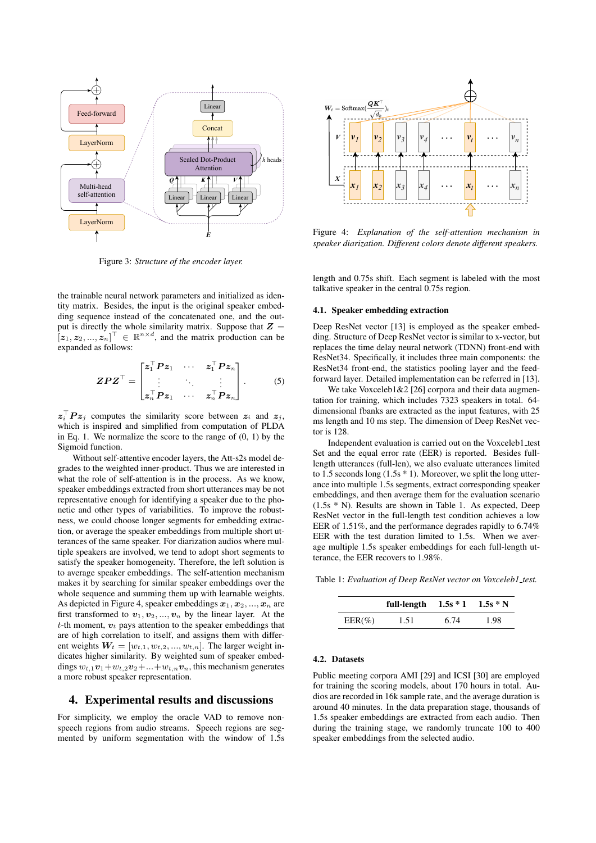

Figure 3: *Structure of the encoder layer.*

the trainable neural network parameters and initialized as identity matrix. Besides, the input is the original speaker embedding sequence instead of the concatenated one, and the output is directly the whole similarity matrix. Suppose that  $Z =$  $[z_1, z_2, ..., z_n]^\top \in \mathbb{R}^{n \times d}$ , and the matrix production can be expanded as follows:

$$
ZPZ^{\top} = \begin{bmatrix} z_1^{\top} P z_1 & \cdots & z_1^{\top} P z_n \\ \vdots & \ddots & \vdots \\ z_n^{\top} P z_1 & \cdots & z_n^{\top} P z_n \end{bmatrix} . \tag{5}
$$

 $\mathbf{z}_i^{\top} \mathbf{P} \mathbf{z}_j$  computes the similarity score between  $\mathbf{z}_i$  and  $\mathbf{z}_j$ , which is inspired and simplified from computation of PLDA in Eq. 1. We normalize the score to the range of (0, 1) by the Sigmoid function.

Without self-attentive encoder layers, the Att-s2s model degrades to the weighted inner-product. Thus we are interested in what the role of self-attention is in the process. As we know, speaker embeddings extracted from short utterances may be not representative enough for identifying a speaker due to the phonetic and other types of variabilities. To improve the robustness, we could choose longer segments for embedding extraction, or average the speaker embeddings from multiple short utterances of the same speaker. For diarization audios where multiple speakers are involved, we tend to adopt short segments to satisfy the speaker homogeneity. Therefore, the left solution is to average speaker embeddings. The self-attention mechanism makes it by searching for similar speaker embeddings over the whole sequence and summing them up with learnable weights. As depicted in Figure 4, speaker embeddings  $x_1, x_2, ..., x_n$  are first transformed to  $v_1, v_2, ..., v_n$  by the linear layer. At the  $t$ -th moment,  $v_t$  pays attention to the speaker embeddings that are of high correlation to itself, and assigns them with different weights  $W_t = [w_{t,1}, w_{t,2}, ..., w_{t,n}]$ . The larger weight indicates higher similarity. By weighted sum of speaker embeddings  $w_{t,1}v_1+w_{t,2}v_2+\ldots+w_{t,n}v_n$ , this mechanism generates a more robust speaker representation. **Example 19 Example 19 Example 19 Example 19 Example 19 Example 19 Example 19 C** *v* **Example 19 C** *v Example 19 C <i>v c <i>v* **d** *c <i>v* **c** *v d v d <i>v* **d** *c d* 

### 4. Experimental results and discussions

For simplicity, we employ the oracle VAD to remove nonspeech regions from audio streams. Speech regions are seg-



Figure 4: *Explanation of the self-attention mechanism in speaker diarization. Different colors denote different speakers.*

length and 0.75s shift. Each segment is labeled with the most talkative speaker in the central 0.75s region.

#### 4.1. Speaker embedding extraction

Deep ResNet vector [13] is employed as the speaker embedding. Structure of Deep ResNet vector is similar to x-vector, but replaces the time delay neural network (TDNN) front-end with ResNet34. Specifically, it includes three main components: the ResNet34 front-end, the statistics pooling layer and the feedforward layer. Detailed implementation can be referred in [13].

We take Voxceleb1&2 [26] corpora and their data augmentation for training, which includes 7323 speakers in total. 64 dimensional fbanks are extracted as the input features, with 25 ms length and 10 ms step. The dimension of Deep ResNet vector is 128.

Independent evaluation is carried out on the Voxceleb1\_test Set and the equal error rate (EER) is reported. Besides fulllength utterances (full-len), we also evaluate utterances limited to 1.5 seconds long (1.5s \* 1). Moreover, we split the long utterance into multiple 1.5s segments, extract corresponding speaker embeddings, and then average them for the evaluation scenario (1.5s \* N). Results are shown in Table 1. As expected, Deep ResNet vector in the full-length test condition achieves a low EER of 1.51%, and the performance degrades rapidly to 6.74% EER with the test duration limited to 1.5s. When we average multiple 1.5s speaker embeddings for each full-length utterance, the EER recovers to 1.98%.

Table 1: *Evaluation of Deep ResNet vector on Voxceleb1 test.*

|           | full-length $1.5s * 1$ $1.5s * N$ |      |      |
|-----------|-----------------------------------|------|------|
| $EER(\%)$ | 1.51                              | 6.74 | 1.98 |

#### 4.2. Datasets

Public meeting corpora AMI [29] and ICSI [30] are employed for training the scoring models, about 170 hours in total. Audios are recorded in 16k sample rate, and the average duration is around 40 minutes. In the data preparation stage, thousands of 1.5s speaker embeddings are extracted from each audio. Then during the training stage, we randomly truncate 100 to 400 speaker embeddings from the selected audio.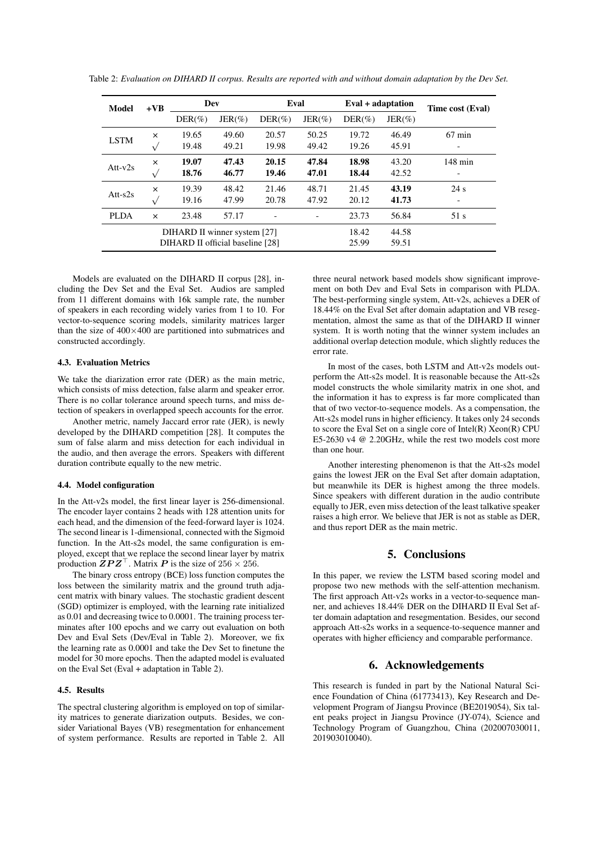| Model                            | $+VB$     | Dev        |           | Eval       |           | Eval + adaptation |           | Time cost (Eval)         |
|----------------------------------|-----------|------------|-----------|------------|-----------|-------------------|-----------|--------------------------|
|                                  |           | $DER(\% )$ | $JER(\%)$ | $DER(\% )$ | $JER(\%)$ | $DER(\% )$        | $JER(\%)$ |                          |
| <b>LSTM</b>                      | $\times$  | 19.65      | 49.60     | 20.57      | 50.25     | 19.72             | 46.49     | $67 \text{ min}$         |
|                                  |           | 19.48      | 49.21     | 19.98      | 49.42     | 19.26             | 45.91     |                          |
| Att- $v2s$                       | $\times$  | 19.07      | 47.43     | 20.15      | 47.84     | 18.98             | 43.20     | $148 \text{ min}$        |
|                                  | $\sqrt{}$ | 18.76      | 46.77     | 19.46      | 47.01     | 18.44             | 42.52     | $\overline{\phantom{a}}$ |
| Att- $s2s$                       | $\times$  | 19.39      | 48.42     | 21.46      | 48.71     | 21.45             | 43.19     | 24 s                     |
|                                  | $\sqrt{}$ | 19.16      | 47.99     | 20.78      | 47.92     | 20.12             | 41.73     | -                        |
| <b>PLDA</b>                      | $\times$  | 23.48      | 57.17     |            |           | 23.73             | 56.84     | 51 s                     |
| DIHARD II winner system [27]     |           |            |           |            |           | 18.42             | 44.58     |                          |
| DIHARD II official baseline [28] |           |            |           |            |           | 25.99             | 59.51     |                          |

Table 2: *Evaluation on DIHARD II corpus. Results are reported with and without domain adaptation by the Dev Set.*

Models are evaluated on the DIHARD II corpus [28], including the Dev Set and the Eval Set. Audios are sampled from 11 different domains with 16k sample rate, the number of speakers in each recording widely varies from 1 to 10. For vector-to-sequence scoring models, similarity matrices larger than the size of  $400\times400$  are partitioned into submatrices and constructed accordingly.

### 4.3. Evaluation Metrics

We take the diarization error rate (DER) as the main metric, which consists of miss detection, false alarm and speaker error. There is no collar tolerance around speech turns, and miss detection of speakers in overlapped speech accounts for the error.

Another metric, namely Jaccard error rate (JER), is newly developed by the DIHARD competition [28]. It computes the sum of false alarm and miss detection for each individual in the audio, and then average the errors. Speakers with different duration contribute equally to the new metric.

#### 4.4. Model configuration

In the Att-v2s model, the first linear layer is 256-dimensional. The encoder layer contains 2 heads with 128 attention units for each head, and the dimension of the feed-forward layer is 1024. The second linear is 1-dimensional, connected with the Sigmoid function. In the Att-s2s model, the same configuration is employed, except that we replace the second linear layer by matrix production  $\mathbf{ZPZ}^{\top}$ . Matrix P is the size of 256  $\times$  256.

The binary cross entropy (BCE) loss function computes the loss between the similarity matrix and the ground truth adjacent matrix with binary values. The stochastic gradient descent (SGD) optimizer is employed, with the learning rate initialized as 0.01 and decreasing twice to 0.0001. The training process terminates after 100 epochs and we carry out evaluation on both Dev and Eval Sets (Dev/Eval in Table 2). Moreover, we fix the learning rate as 0.0001 and take the Dev Set to finetune the model for 30 more epochs. Then the adapted model is evaluated on the Eval Set (Eval + adaptation in Table 2).

### 4.5. Results

The spectral clustering algorithm is employed on top of similarity matrices to generate diarization outputs. Besides, we consider Variational Bayes (VB) resegmentation for enhancement of system performance. Results are reported in Table 2. All three neural network based models show significant improvement on both Dev and Eval Sets in comparison with PLDA. The best-performing single system, Att-v2s, achieves a DER of 18.44% on the Eval Set after domain adaptation and VB resegmentation, almost the same as that of the DIHARD II winner system. It is worth noting that the winner system includes an additional overlap detection module, which slightly reduces the error rate.

In most of the cases, both LSTM and Att-v2s models outperform the Att-s2s model. It is reasonable because the Att-s2s model constructs the whole similarity matrix in one shot, and the information it has to express is far more complicated than that of two vector-to-sequence models. As a compensation, the Att-s2s model runs in higher efficiency. It takes only 24 seconds to score the Eval Set on a single core of Intel(R) Xeon(R) CPU E5-2630 v4 @ 2.20GHz, while the rest two models cost more than one hour.

Another interesting phenomenon is that the Att-s2s model gains the lowest JER on the Eval Set after domain adaptation, but meanwhile its DER is highest among the three models. Since speakers with different duration in the audio contribute equally to JER, even miss detection of the least talkative speaker raises a high error. We believe that JER is not as stable as DER, and thus report DER as the main metric.

# 5. Conclusions

In this paper, we review the LSTM based scoring model and propose two new methods with the self-attention mechanism. The first approach Att-v2s works in a vector-to-sequence manner, and achieves 18.44% DER on the DIHARD II Eval Set after domain adaptation and resegmentation. Besides, our second approach Att-s2s works in a sequence-to-sequence manner and operates with higher efficiency and comparable performance.

# 6. Acknowledgements

This research is funded in part by the National Natural Science Foundation of China (61773413), Key Research and Development Program of Jiangsu Province (BE2019054), Six talent peaks project in Jiangsu Province (JY-074), Science and Technology Program of Guangzhou, China (202007030011, 201903010040).